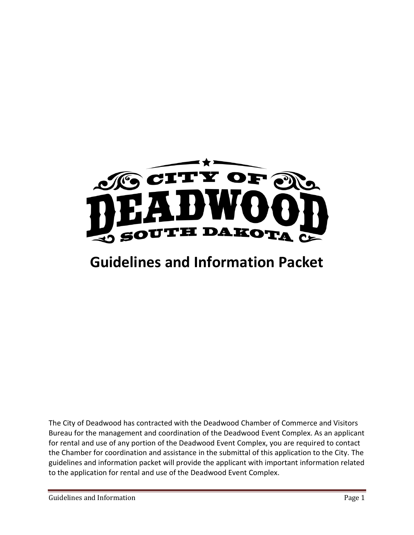

# **Guidelines and Information Packet**

The City of Deadwood has contracted with the Deadwood Chamber of Commerce and Visitors Bureau for the management and coordination of the Deadwood Event Complex. As an applicant for rental and use of any portion of the Deadwood Event Complex, you are required to contact the Chamber for coordination and assistance in the submittal of this application to the City. The guidelines and information packet will provide the applicant with important information related to the application for rental and use of the Deadwood Event Complex.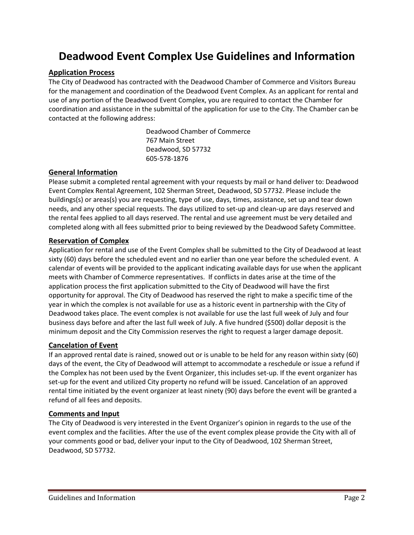## **Deadwood Event Complex Use Guidelines and Information**

#### **Application Process**

The City of Deadwood has contracted with the Deadwood Chamber of Commerce and Visitors Bureau for the management and coordination of the Deadwood Event Complex. As an applicant for rental and use of any portion of the Deadwood Event Complex, you are required to contact the Chamber for coordination and assistance in the submittal of the application for use to the City. The Chamber can be contacted at the following address:

> Deadwood Chamber of Commerce 767 Main Street Deadwood, SD 57732 605-578-1876

#### **General Information**

Please submit a completed rental agreement with your requests by mail or hand deliver to: Deadwood Event Complex Rental Agreement, 102 Sherman Street, Deadwood, SD 57732. Please include the buildings(s) or areas(s) you are requesting, type of use, days, times, assistance, set up and tear down needs, and any other special requests. The days utilized to set-up and clean-up are days reserved and the rental fees applied to all days reserved. The rental and use agreement must be very detailed and completed along with all fees submitted prior to being reviewed by the Deadwood Safety Committee.

#### **Reservation of Complex**

Application for rental and use of the Event Complex shall be submitted to the City of Deadwood at least sixty (60) days before the scheduled event and no earlier than one year before the scheduled event. A calendar of events will be provided to the applicant indicating available days for use when the applicant meets with Chamber of Commerce representatives. If conflicts in dates arise at the time of the application process the first application submitted to the City of Deadwood will have the first opportunity for approval. The City of Deadwood has reserved the right to make a specific time of the year in which the complex is not available for use as a historic event in partnership with the City of Deadwood takes place. The event complex is not available for use the last full week of July and four business days before and after the last full week of July. A five hundred (\$500) dollar deposit is the minimum deposit and the City Commission reserves the right to request a larger damage deposit.

#### **Cancelation of Event**

If an approved rental date is rained, snowed out or is unable to be held for any reason within sixty (60) days of the event, the City of Deadwood will attempt to accommodate a reschedule or issue a refund if the Complex has not been used by the Event Organizer, this includes set-up. If the event organizer has set-up for the event and utilized City property no refund will be issued. Cancelation of an approved rental time initiated by the event organizer at least ninety (90) days before the event will be granted a refund of all fees and deposits.

#### **Comments and Input**

The City of Deadwood is very interested in the Event Organizer's opinion in regards to the use of the event complex and the facilities. After the use of the event complex please provide the City with all of your comments good or bad, deliver your input to the City of Deadwood, 102 Sherman Street, Deadwood, SD 57732.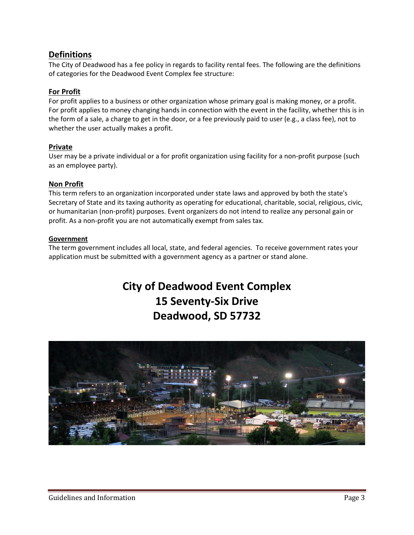### **Definitions**

The City of Deadwood has a fee policy in regards to facility rental fees. The following are the definitions of categories for the Deadwood Event Complex fee structure:

#### **For Profit**

For profit applies to a business or other organization whose primary goal is making money, or a profit. For profit applies to money changing hands in connection with the event in the facility, whether this is in the form of a sale, a charge to get in the door, or a fee previously paid to user (e.g., a class fee), not to whether the user actually makes a profit.

#### **Private**

User may be a private individual or a for profit organization using facility for a non-profit purpose (such as an employee party).

#### **Non Profit**

This term refers to an organization incorporated under state laws and approved by both the state's Secretary of State and its taxing authority as operating for educational, charitable, social, religious, civic, or humanitarian (non-profit) purposes. Event organizers do not intend to realize any personal gain or profit. As a non-profit you are not automatically exempt from sales tax.

#### **Government**

The term government includes all local, state, and federal agencies. To receive government rates your application must be submitted with a government agency as a partner or stand alone.

# **City of Deadwood Event Complex 15 Seventy-Six Drive Deadwood, SD 57732**

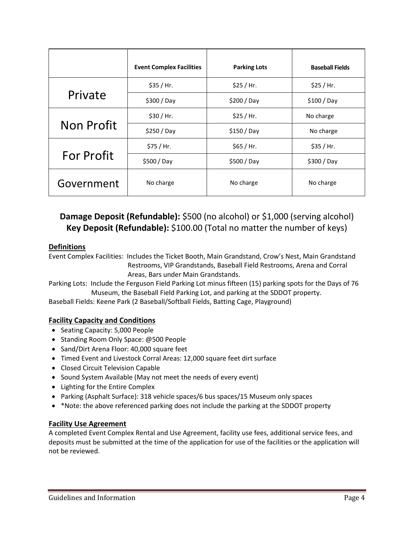|                   | <b>Event Complex Facilities</b> | <b>Parking Lots</b> | <b>Baseball Fields</b> |
|-------------------|---------------------------------|---------------------|------------------------|
| Private           | \$35 / Hr.                      | \$25 / Hr.          | \$25 / Hr.             |
|                   | \$300/Day                       | \$200/Day           | $$100/$ Day            |
| <b>Non Profit</b> | \$30 / Hr.                      | \$25 / Hr.          | No charge              |
|                   | \$250/Day                       | $$150/$ Day         | No charge              |
|                   | \$75 / Hr.                      | \$65 / Hr.          | \$35 / Hr.             |
| <b>For Profit</b> | \$500/Day                       | \$500 / Day         | \$300/Day              |
| Government        | No charge                       | No charge           | No charge              |

### **Damage Deposit (Refundable):** \$500 (no alcohol) or \$1,000 (serving alcohol) **Key Deposit (Refundable):** \$100.00 (Total no matter the number of keys)

#### **Definitions**

Event Complex Facilities: Includes the Ticket Booth, Main Grandstand, Crow's Nest, Main Grandstand Restrooms, VIP Grandstands, Baseball Field Restrooms, Arena and Corral Areas, Bars under Main Grandstands.

Parking Lots: Include the Ferguson Field Parking Lot minus fifteen (15) parking spots for the Days of 76 Museum, the Baseball Field Parking Lot, and parking at the SDDOT property.

Baseball Fields: Keene Park (2 Baseball/Softball Fields, Batting Cage, Playground)

#### **Facility Capacity and Conditions**

- Seating Capacity: 5,000 People
- Standing Room Only Space: @500 People
- Sand/Dirt Arena Floor: 40,000 square feet
- Timed Event and Livestock Corral Areas: 12,000 square feet dirt surface
- Closed Circuit Television Capable
- Sound System Available (May not meet the needs of every event)
- Lighting for the Entire Complex
- Parking (Asphalt Surface): 318 vehicle spaces/6 bus spaces/15 Museum only spaces
- \* \*Note: the above referenced parking does not include the parking at the SDDOT property

#### **Facility Use Agreement**

A completed Event Complex Rental and Use Agreement, facility use fees, additional service fees, and deposits must be submitted at the time of the application for use of the facilities or the application will not be reviewed.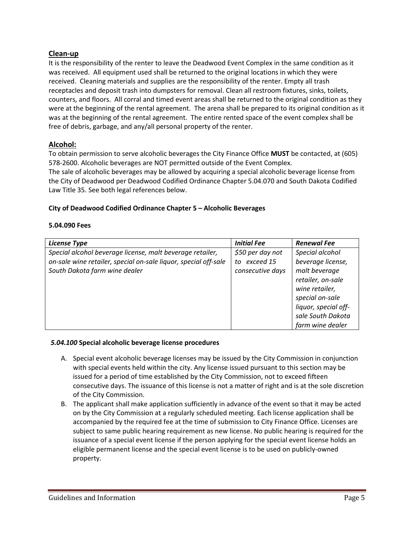#### **Clean-up**

It is the responsibility of the renter to leave the Deadwood Event Complex in the same condition as it was received. All equipment used shall be returned to the original locations in which they were received. Cleaning materials and supplies are the responsibility of the renter. Empty all trash receptacles and deposit trash into dumpsters for removal. Clean all restroom fixtures, sinks, toilets, counters, and floors. All corral and timed event areas shall be returned to the original condition as they were at the beginning of the rental agreement. The arena shall be prepared to its original condition as it was at the beginning of the rental agreement. The entire rented space of the event complex shall be free of debris, garbage, and any/all personal property of the renter.

#### **Alcohol:**

To obtain permission to serve alcoholic beverages the City Finance Office **MUST** be contacted, at (605) 578-2600. Alcoholic beverages are NOT permitted outside of the Event Complex.

The sale of alcoholic beverages may be allowed by acquiring a special alcoholic beverage license from the City of Deadwood per Deadwood Codified Ordinance Chapter 5.04.070 and South Dakota Codified Law Title 35. See both legal references below.

#### **City of Deadwood Codified Ordinance Chapter 5 – Alcoholic Beverages**

#### **5.04.090 Fees**

| <b>License Type</b>                                             | <b>Initial Fee</b>               | <b>Renewal Fee</b>                 |
|-----------------------------------------------------------------|----------------------------------|------------------------------------|
| Special alcohol beverage license, malt beverage retailer,       | \$50 per day not<br>to exceed 15 | Special alcohol                    |
| on-sale wine retailer, special on-sale liquor, special off-sale |                                  | beverage license,<br>malt beverage |
| South Dakota farm wine dealer                                   | consecutive days                 | retailer, on-sale                  |
|                                                                 |                                  | wine retailer,                     |
|                                                                 |                                  | special on-sale                    |
|                                                                 |                                  | liquor, special off-               |
|                                                                 |                                  | sale South Dakota                  |
|                                                                 |                                  | farm wine dealer                   |

#### *5.04.100* **Special alcoholic beverage license procedures**

- A. Special event alcoholic beverage licenses may be issued by the City Commission in conjunction with special events held within the city. Any license issued pursuant to this section may be issued for a period of time established by the City Commission, not to exceed fifteen consecutive days. The issuance of this license is not a matter of right and is at the sole discretion of the City Commission.
- B. The applicant shall make application sufficiently in advance of the event so that it may be acted on by the City Commission at a regularly scheduled meeting. Each license application shall be accompanied by the required fee at the time of submission to City Finance Office. Licenses are subject to same public hearing requirement as new license. No public hearing is required for the issuance of a special event license if the person applying for the special event license holds an eligible permanent license and the special event license is to be used on publicly-owned property.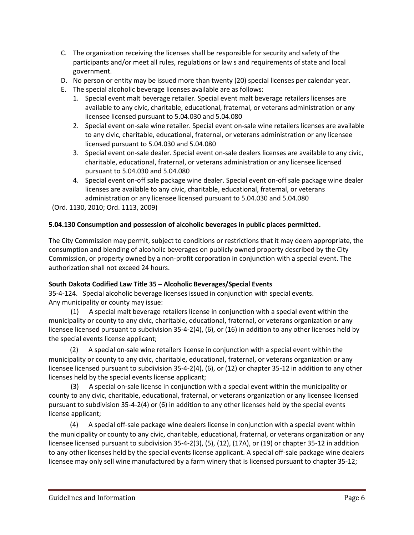- C. The organization receiving the licenses shall be responsible for security and safety of the participants and/or meet all rules, regulations or law s and requirements of state and local government.
- D. No person or entity may be issued more than twenty (20) special licenses per calendar year.
- E. The special alcoholic beverage licenses available are as follows:
	- 1. Special event malt beverage retailer. Special event malt beverage retailers licenses are available to any civic, charitable, educational, fraternal, or veterans administration or any licensee licensed pursuant to 5.04.030 and 5.04.080
	- 2. Special event on-sale wine retailer. Special event on-sale wine retailers licenses are available to any civic, charitable, educational, fraternal, or veterans administration or any licensee licensed pursuant to 5.04.030 and 5.04.080
	- 3. Special event on-sale dealer. Special event on-sale dealers licenses are available to any civic, charitable, educational, fraternal, or veterans administration or any licensee licensed pursuant to 5.04.030 and 5.04.080
	- 4. Special event on-off sale package wine dealer. Special event on-off sale package wine dealer licenses are available to any civic, charitable, educational, fraternal, or veterans administration or any licensee licensed pursuant to 5.04.030 and 5.04.080

(Ord. 1130, 2010; Ord. 1113, 2009)

#### **5.04.130 Consumption and possession of alcoholic beverages in public places permitted.**

The City Commission may permit, subject to conditions or restrictions that it may deem appropriate, the consumption and blending of alcoholic beverages on publicly owned property described by the City Commission, or property owned by a non-profit corporation in conjunction with a special event. The authorization shall not exceed 24 hours.

#### **South Dakota Codified Law Title 35 – Alcoholic Beverages/Special Events**

35-4-124. Special alcoholic beverage licenses issued in conjunction with special events. Any municipality or county may issue:

 (1) A special malt beverage retailers license in conjunction with a special event within the municipality or county to any civic, charitable, educational, fraternal, or veterans organization or any licensee licensed pursuant to subdivision 35-4-2(4), (6), or (16) in addition to any other licenses held by the special events license applicant;

 (2) A special on-sale wine retailers license in conjunction with a special event within the municipality or county to any civic, charitable, educational, fraternal, or veterans organization or any licensee licensed pursuant to subdivision 35-4-2(4), (6), or (12) or chapter 35-12 in addition to any other licenses held by the special events license applicant;

 (3) A special on-sale license in conjunction with a special event within the municipality or county to any civic, charitable, educational, fraternal, or veterans organization or any licensee licensed pursuant to subdivision 35-4-2(4) or (6) in addition to any other licenses held by the special events license applicant;

 (4) A special off-sale package wine dealers license in conjunction with a special event within the municipality or county to any civic, charitable, educational, fraternal, or veterans organization or any licensee licensed pursuant to subdivision 35-4-2(3), (5), (12), (17A), or (19) or chapter 35-12 in addition to any other licenses held by the special events license applicant. A special off-sale package wine dealers licensee may only sell wine manufactured by a farm winery that is licensed pursuant to chapter 35-12;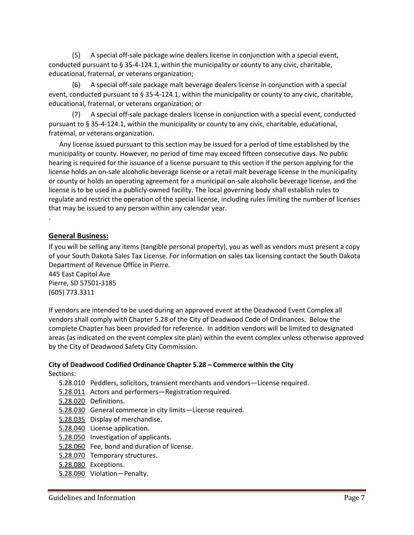(5) A special off-sale package wine dealers license in conjunction with a special event, conducted pursuant to § 35-4-124.1, within the municipality or county to any civic, charitable, educational, fraternal, or veterans organization;

 (6) A special off-sale package malt beverage dealers license in conjunction with a special event, conducted pursuant to § 35-4-124.1, within the municipality or county to any civic, charitable, educational, fraternal, or veterans organization; or

 (7) A special off-sale package dealers license in conjunction with a special event, conducted pursuant to § 35-4-124.1, within the municipality or county to any civic, charitable, educational, fraternal, or veterans organization.

 Any license issued pursuant to this section may be issued for a period of time established by the municipality or county. However, no period of time may exceed fifteen consecutive days. No public hearing is required for the issuance of a license pursuant to this section if the person applying for the license holds an on-sale alcoholic beverage license or a retail malt beverage license in the municipality or county or holds an operating agreement for a municipal on-sale alcoholic beverage license, and the license is to be used in a publicly-owned facility. The local governing body shall establish rules to regulate and restrict the operation of the special license, including rules limiting the number of licenses that may be issued to any person within any calendar year.

#### **General Business:**

.

If you will be selling any items (tangible personal property), you as well as vendors must present a copy of your South Dakota Sales Tax License. For information on sales tax licensing contact the South Dakota Department of Revenue Office in Pierre.

445 East Capitol Ave Pierre, SD 57501-3185 (605) 773.3311

If vendors are intended to be used during an approved event at the Deadwood Event Complex all vendors shall comply with Chapter 5.28 of the City of Deadwood Code of Ordinances. Below the complete Chapter has been provided for reference. In addition vendors will be limited to designated areas (as indicated on the event complex site plan) within the event complex unless otherwise approved by the City of Deadwood Safety City Commission.

## **City of Deadwood Codified Ordinance Chapter 5.28 – Commerce within the City**

Sections:

- 5.28.010 Peddlers, solicitors, transient merchants and vendors—License required.
- 5.28.011 Actors and performers—Registration required.
- [5.28.020](http://library.amlegal.com/nxt/gateway.dll?f=jumplink$jumplink_x=Advanced$jumplink_vpc=first$jumplink_xsl=querylink.xsl$jumplink_sel=title;path;content-type;home-title;item-bookmark$jumplink_d=south%20dakota(deadwood_sd)$jumplink_q=%5bfield%20folio-destination-name:) Definitions.
- 5.28.030 General commerce in city limits—License required.
- [5.28.035](http://library.amlegal.com/nxt/gateway.dll?f=jumplink$jumplink_x=Advanced$jumplink_vpc=first$jumplink_xsl=querylink.xsl$jumplink_sel=title;path;content-type;home-title;item-bookmark$jumplink_d=south%20dakota(deadwood_sd)$jumplink_q=%5bfield%20folio-destination-name:) Display of merchandise.
- [5.28.040](http://library.amlegal.com/nxt/gateway.dll?f=jumplink$jumplink_x=Advanced$jumplink_vpc=first$jumplink_xsl=querylink.xsl$jumplink_sel=title;path;content-type;home-title;item-bookmark$jumplink_d=south%20dakota(deadwood_sd)$jumplink_q=%5bfield%20folio-destination-name:) License application.
- [5.28.050](http://library.amlegal.com/nxt/gateway.dll?f=jumplink$jumplink_x=Advanced$jumplink_vpc=first$jumplink_xsl=querylink.xsl$jumplink_sel=title;path;content-type;home-title;item-bookmark$jumplink_d=south%20dakota(deadwood_sd)$jumplink_q=%5bfield%20folio-destination-name:) Investigation of applicants.
- [5.28.060](http://library.amlegal.com/nxt/gateway.dll?f=jumplink$jumplink_x=Advanced$jumplink_vpc=first$jumplink_xsl=querylink.xsl$jumplink_sel=title;path;content-type;home-title;item-bookmark$jumplink_d=south%20dakota(deadwood_sd)$jumplink_q=%5bfield%20folio-destination-name:) Fee, bond and duration of license.
- [5.28.070](http://library.amlegal.com/nxt/gateway.dll?f=jumplink$jumplink_x=Advanced$jumplink_vpc=first$jumplink_xsl=querylink.xsl$jumplink_sel=title;path;content-type;home-title;item-bookmark$jumplink_d=south%20dakota(deadwood_sd)$jumplink_q=%5bfield%20folio-destination-name:) Temporary structures.
- [5.28.080](http://library.amlegal.com/nxt/gateway.dll?f=jumplink$jumplink_x=Advanced$jumplink_vpc=first$jumplink_xsl=querylink.xsl$jumplink_sel=title;path;content-type;home-title;item-bookmark$jumplink_d=south%20dakota(deadwood_sd)$jumplink_q=%5bfield%20folio-destination-name:) Exceptions.
- [5.28.090](http://library.amlegal.com/nxt/gateway.dll?f=jumplink$jumplink_x=Advanced$jumplink_vpc=first$jumplink_xsl=querylink.xsl$jumplink_sel=title;path;content-type;home-title;item-bookmark$jumplink_d=south%20dakota(deadwood_sd)$jumplink_q=%5bfield%20folio-destination-name:) Violation—Penalty.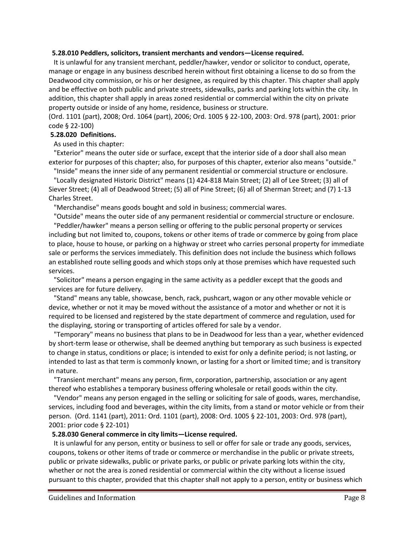#### **5.28.010 Peddlers, solicitors, transient merchants and vendors—License required.**

 It is unlawful for any transient merchant, peddler/hawker, vendor or solicitor to conduct, operate, manage or engage in any business described herein without first obtaining a license to do so from the Deadwood city commission, or his or her designee, as required by this chapter. This chapter shall apply and be effective on both public and private streets, sidewalks, parks and parking lots within the city. In addition, this chapter shall apply in areas zoned residential or commercial within the city on private property outside or inside of any home, residence, business or structure.

(Ord. 1101 (part), 2008; Ord. 1064 (part), 2006; Ord. 1005 § 22-100, 2003: Ord. 978 (part), 2001: prior code § 22-100)

#### **5.28.020 Definitions.**

#### As used in this chapter:

 "Exterior" means the outer side or surface, except that the interior side of a door shall also mean exterior for purposes of this chapter; also, for purposes of this chapter, exterior also means "outside."

 "Inside" means the inner side of any permanent residential or commercial structure or enclosure. "Locally designated Historic District" means (1) 424-818 Main Street; (2) all of Lee Street; (3) all of

Siever Street; (4) all of Deadwood Street; (5) all of Pine Street; (6) all of Sherman Street; and (7) 1-13 Charles Street.

"Merchandise" means goods bought and sold in business; commercial wares.

"Outside" means the outer side of any permanent residential or commercial structure or enclosure.

 "Peddler/hawker" means a person selling or offering to the public personal property or services including but not limited to, coupons, tokens or other items of trade or commerce by going from place to place, house to house, or parking on a highway or street who carries personal property for immediate sale or performs the services immediately. This definition does not include the business which follows an established route selling goods and which stops only at those premises which have requested such services.

 "Solicitor" means a person engaging in the same activity as a peddler except that the goods and services are for future delivery.

 "Stand" means any table, showcase, bench, rack, pushcart, wagon or any other movable vehicle or device, whether or not it may be moved without the assistance of a motor and whether or not it is required to be licensed and registered by the state department of commerce and regulation, used for the displaying, storing or transporting of articles offered for sale by a vendor.

 "Temporary" means no business that plans to be in Deadwood for less than a year, whether evidenced by short-term lease or otherwise, shall be deemed anything but temporary as such business is expected to change in status, conditions or place; is intended to exist for only a definite period; is not lasting, or intended to last as that term is commonly known, or lasting for a short or limited time; and is transitory in nature.

 "Transient merchant" means any person, firm, corporation, partnership, association or any agent thereof who establishes a temporary business offering wholesale or retail goods within the city.

 "Vendor" means any person engaged in the selling or soliciting for sale of goods, wares, merchandise, services, including food and beverages, within the city limits, from a stand or motor vehicle or from their person. (Ord. 1141 (part), 2011: Ord. 1101 (part), 2008: Ord. 1005 § 22-101, 2003: Ord. 978 (part), 2001: prior code § 22-101)

#### **5.28.030 General commerce in city limits—License required.**

 It is unlawful for any person, entity or business to sell or offer for sale or trade any goods, services, coupons, tokens or other items of trade or commerce or merchandise in the public or private streets, public or private sidewalks, public or private parks, or public or private parking lots within the city, whether or not the area is zoned residential or commercial within the city without a license issued pursuant to this chapter, provided that this chapter shall not apply to a person, entity or business which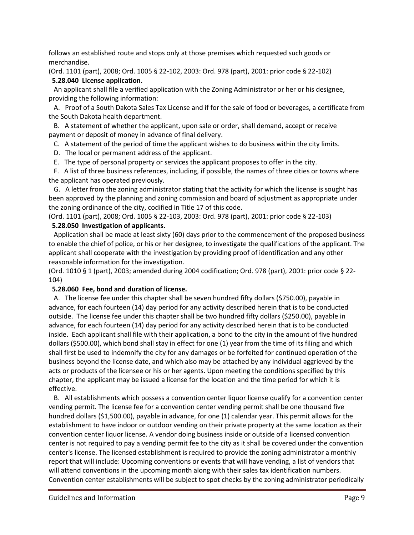follows an established route and stops only at those premises which requested such goods or merchandise.

(Ord. 1101 (part), 2008; Ord. 1005 § 22-102, 2003: Ord. 978 (part), 2001: prior code § 22-102) **5.28.040 License application.**

 An applicant shall file a verified application with the Zoning Administrator or her or his designee, providing the following information:

 A. Proof of a South Dakota Sales Tax License and if for the sale of food or beverages, a certificate from the South Dakota health department.

 B. A statement of whether the applicant, upon sale or order, shall demand, accept or receive payment or deposit of money in advance of final delivery.

- C. A statement of the period of time the applicant wishes to do business within the city limits.
- D. The local or permanent address of the applicant.
- E. The type of personal property or services the applicant proposes to offer in the city.

 F. A list of three business references, including, if possible, the names of three cities or towns where the applicant has operated previously.

 G. A letter from the zoning administrator stating that the activity for which the license is sought has been approved by the planning and zoning commission and board of adjustment as appropriate under the zoning ordinance of the city, codified in Title 17 of this code.

(Ord. 1101 (part), 2008; Ord. 1005 § 22-103, 2003: Ord. 978 (part), 2001: prior code § 22-103)

#### **5.28.050 Investigation of applicants.**

 Application shall be made at least sixty (60) days prior to the commencement of the proposed business to enable the chief of police, or his or her designee, to investigate the qualifications of the applicant. The applicant shall cooperate with the investigation by providing proof of identification and any other reasonable information for the investigation.

(Ord. 1010 § 1 (part), 2003; amended during 2004 codification; Ord. 978 (part), 2001: prior code § 22- 104)

#### **5.28.060 Fee, bond and duration of license.**

 A. The license fee under this chapter shall be seven hundred fifty dollars (\$750.00), payable in advance, for each fourteen (14) day period for any activity described herein that is to be conducted outside. The license fee under this chapter shall be two hundred fifty dollars (\$250.00), payable in advance, for each fourteen (14) day period for any activity described herein that is to be conducted inside. Each applicant shall file with their application, a bond to the city in the amount of five hundred dollars (\$500.00), which bond shall stay in effect for one (1) year from the time of its filing and which shall first be used to indemnify the city for any damages or be forfeited for continued operation of the business beyond the license date, and which also may be attached by any individual aggrieved by the acts or products of the licensee or his or her agents. Upon meeting the conditions specified by this chapter, the applicant may be issued a license for the location and the time period for which it is effective.

 B. All establishments which possess a convention center liquor license qualify for a convention center vending permit. The license fee for a convention center vending permit shall be one thousand five hundred dollars (\$1,500.00), payable in advance, for one (1) calendar year. This permit allows for the establishment to have indoor or outdoor vending on their private property at the same location as their convention center liquor license. A vendor doing business inside or outside of a licensed convention center is not required to pay a vending permit fee to the city as it shall be covered under the convention center's license. The licensed establishment is required to provide the zoning administrator a monthly report that will include: Upcoming conventions or events that will have vending, a list of vendors that will attend conventions in the upcoming month along with their sales tax identification numbers. Convention center establishments will be subject to spot checks by the zoning administrator periodically